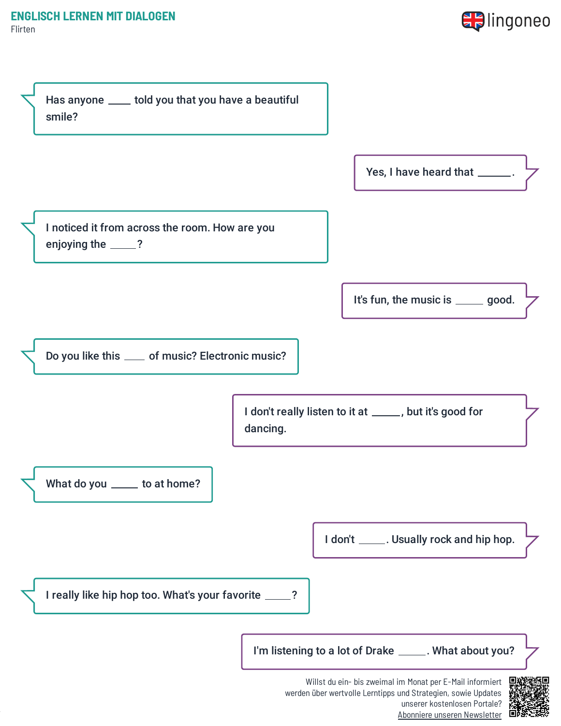